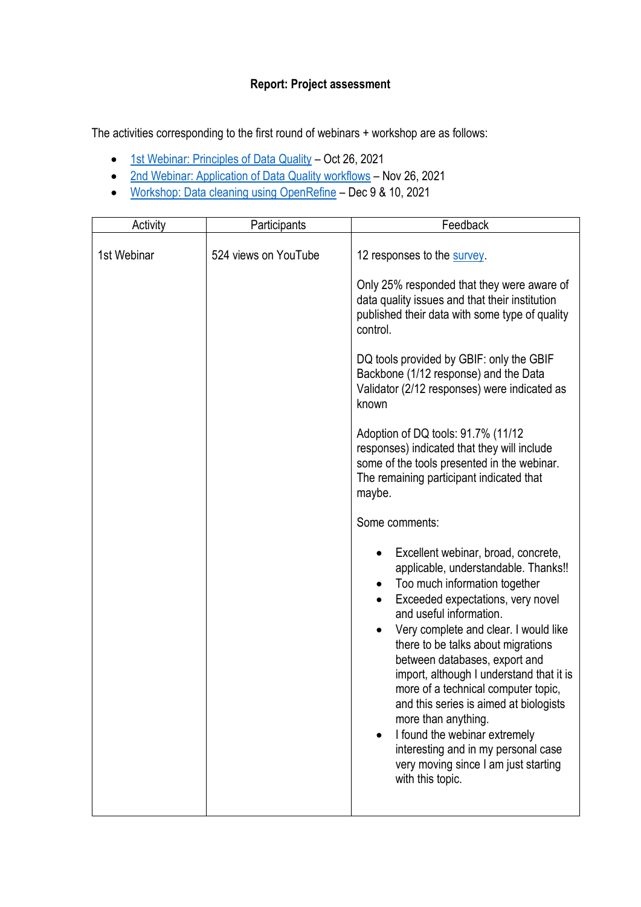## **Report: Project assessment**

The activities corresponding to the first round of webinars + workshop are as follows:

- [1st Webinar: Principles of Data Quality](https://www.gbif.org/event/cde27b-e7a8-4e6d-8de1-4348219/1st-webinar-principles-of-data-quality-in-spanish-only) Oct 26, 2021
- [2nd Webinar: Application of Data Quality workflows](https://www.gbif.org/event/7c6dQdRugnlobJfFJeLBnI/2nd-webinar-application-of-data-quality-workflows-in-spanish-only) Nov 26, 2021
- [Workshop: Data cleaning using OpenRefine](https://www.gbif.org/event/34f971-f429-41a3-b1da-0bb281b/workshop-data-cleaning-using-openrefine-in-spanish-only) Dec 9 & 10, 2021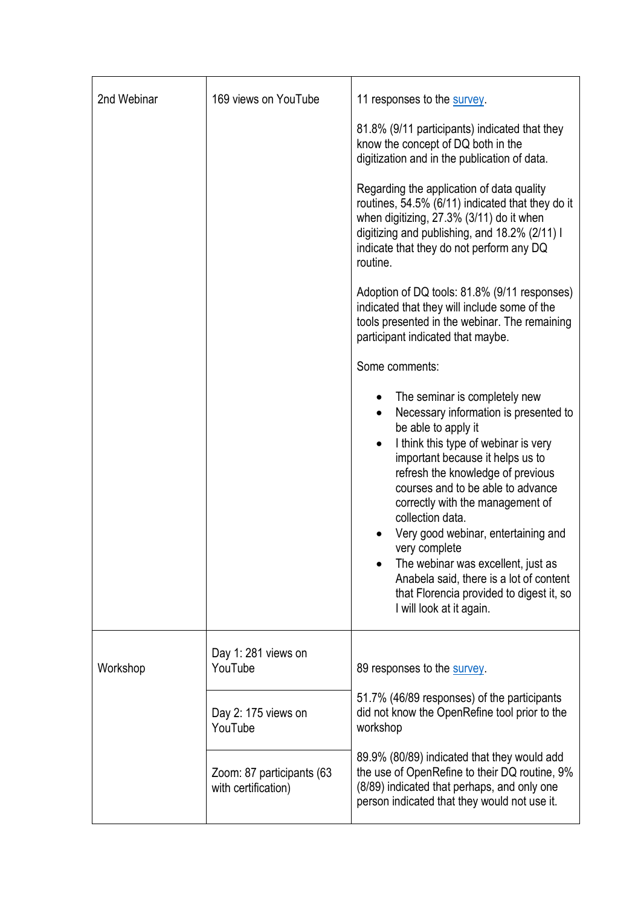| 2nd Webinar | 169 views on YouTube                             | 11 responses to the survey.                                                                                                                                                                                                                                                                                                                                                                                                                                                                                                  |
|-------------|--------------------------------------------------|------------------------------------------------------------------------------------------------------------------------------------------------------------------------------------------------------------------------------------------------------------------------------------------------------------------------------------------------------------------------------------------------------------------------------------------------------------------------------------------------------------------------------|
|             |                                                  | 81.8% (9/11 participants) indicated that they<br>know the concept of DQ both in the<br>digitization and in the publication of data.                                                                                                                                                                                                                                                                                                                                                                                          |
|             |                                                  | Regarding the application of data quality<br>routines, 54.5% (6/11) indicated that they do it<br>when digitizing, 27.3% (3/11) do it when<br>digitizing and publishing, and 18.2% (2/11) I<br>indicate that they do not perform any DQ<br>routine.                                                                                                                                                                                                                                                                           |
|             |                                                  | Adoption of DQ tools: 81.8% (9/11 responses)<br>indicated that they will include some of the<br>tools presented in the webinar. The remaining<br>participant indicated that maybe.                                                                                                                                                                                                                                                                                                                                           |
|             |                                                  | Some comments:                                                                                                                                                                                                                                                                                                                                                                                                                                                                                                               |
|             |                                                  | The seminar is completely new<br>Necessary information is presented to<br>be able to apply it<br>I think this type of webinar is very<br>important because it helps us to<br>refresh the knowledge of previous<br>courses and to be able to advance<br>correctly with the management of<br>collection data.<br>Very good webinar, entertaining and<br>very complete<br>The webinar was excellent, just as<br>Anabela said, there is a lot of content<br>that Florencia provided to digest it, so<br>I will look at it again. |
| Workshop    | Day 1: 281 views on<br>YouTube                   | 89 responses to the survey                                                                                                                                                                                                                                                                                                                                                                                                                                                                                                   |
|             | Day 2: 175 views on<br>YouTube                   | 51.7% (46/89 responses) of the participants<br>did not know the OpenRefine tool prior to the<br>workshop                                                                                                                                                                                                                                                                                                                                                                                                                     |
|             | Zoom: 87 participants (63<br>with certification) | 89.9% (80/89) indicated that they would add<br>the use of OpenRefine to their DQ routine, 9%<br>(8/89) indicated that perhaps, and only one<br>person indicated that they would not use it.                                                                                                                                                                                                                                                                                                                                  |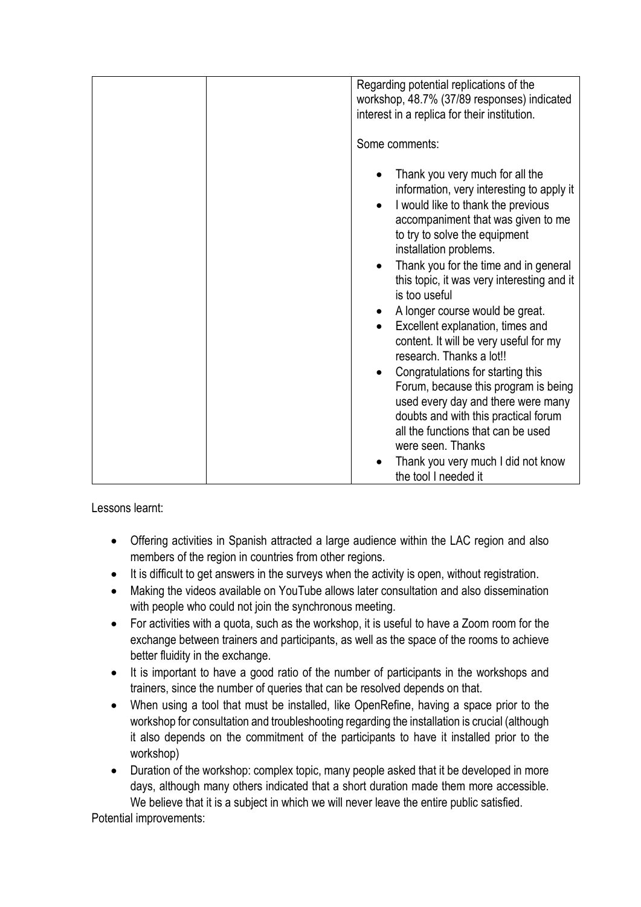|  | Regarding potential replications of the<br>workshop, 48.7% (37/89 responses) indicated<br>interest in a replica for their institution.                                                                                                                                                                                                                                                                                                                                                                                                                                                                                                                                                                   |
|--|----------------------------------------------------------------------------------------------------------------------------------------------------------------------------------------------------------------------------------------------------------------------------------------------------------------------------------------------------------------------------------------------------------------------------------------------------------------------------------------------------------------------------------------------------------------------------------------------------------------------------------------------------------------------------------------------------------|
|  | Some comments:                                                                                                                                                                                                                                                                                                                                                                                                                                                                                                                                                                                                                                                                                           |
|  | Thank you very much for all the<br>information, very interesting to apply it<br>I would like to thank the previous<br>accompaniment that was given to me<br>to try to solve the equipment<br>installation problems.<br>Thank you for the time and in general<br>this topic, it was very interesting and it<br>is too useful<br>A longer course would be great.<br>$\bullet$<br>Excellent explanation, times and<br>$\bullet$<br>content. It will be very useful for my<br>research. Thanks a lot!!<br>Congratulations for starting this<br>٠<br>Forum, because this program is being<br>used every day and there were many<br>doubts and with this practical forum<br>all the functions that can be used |
|  | were seen. Thanks<br>Thank you very much I did not know<br>the tool I needed it                                                                                                                                                                                                                                                                                                                                                                                                                                                                                                                                                                                                                          |

Lessons learnt:

- Offering activities in Spanish attracted a large audience within the LAC region and also members of the region in countries from other regions.
- It is difficult to get answers in the surveys when the activity is open, without registration.
- Making the videos available on YouTube allows later consultation and also dissemination with people who could not join the synchronous meeting.
- For activities with a quota, such as the workshop, it is useful to have a Zoom room for the exchange between trainers and participants, as well as the space of the rooms to achieve better fluidity in the exchange.
- It is important to have a good ratio of the number of participants in the workshops and trainers, since the number of queries that can be resolved depends on that.
- When using a tool that must be installed, like OpenRefine, having a space prior to the workshop for consultation and troubleshooting regarding the installation is crucial (although it also depends on the commitment of the participants to have it installed prior to the workshop)
- Duration of the workshop: complex topic, many people asked that it be developed in more days, although many others indicated that a short duration made them more accessible. We believe that it is a subject in which we will never leave the entire public satisfied.

Potential improvements: